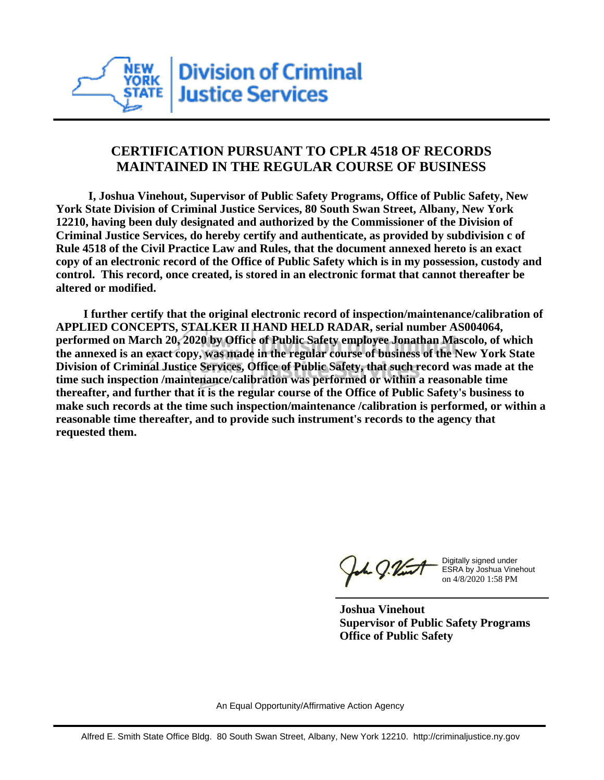

## **CERTIFICATION PURSUANT TO CPLR 4518 OF RECORDS MAINTAINED IN THE REGULAR COURSE OF BUSINESS**

 **I, Joshua Vinehout, Supervisor of Public Safety Programs, Office of Public Safety, New York State Division of Criminal Justice Services, 80 South Swan Street, Albany, New York 12210, having been duly designated and authorized by the Commissioner of the Division of Criminal Justice Services, do hereby certify and authenticate, as provided by subdivision c of Rule 4518 of the Civil Practice Law and Rules, that the document annexed hereto is an exact copy of an electronic record of the Office of Public Safety which is in my possession, custody and control. This record, once created, is stored in an electronic format that cannot thereafter be altered or modified.**

 **I further certify that the original electronic record of inspection/maintenance/calibration of APPLIED CONCEPTS, STALKER II HAND HELD RADAR, serial number AS004064, performed on March 20, 2020 by Office of Public Safety employee Jonathan Mascolo, of which the annexed is an exact copy, was made in the regular course of business of the New York State Division of Criminal Justice Services, Office of Public Safety, that such record was made at the time such inspection /maintenance/calibration was performed or within a reasonable time thereafter, and further that it is the regular course of the Office of Public Safety's business to make such records at the time such inspection/maintenance /calibration is performed, or within a reasonable time thereafter, and to provide such instrument's records to the agency that requested them.**

the J. Vint

Digitally signed under ESRA by Joshua Vinehout on 4/8/2020 1:58 PM

**Joshua Vinehout Supervisor of Public Safety Programs Office of Public Safety**

An Equal Opportunity/Affirmative Action Agency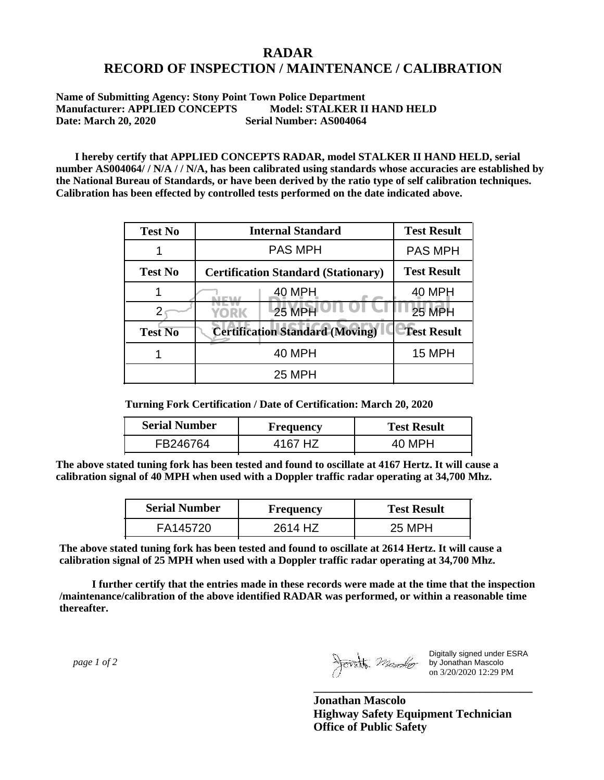## **RADAR RECORD OF INSPECTION / MAINTENANCE / CALIBRATION**

**Name of Submitting Agency: Stony Point Town Police Department Manufacturer: APPLIED CONCEPTS Model: STALKER II HAND HELD Date: March 20, 2020 Serial Number: AS004064**

 **I hereby certify that APPLIED CONCEPTS RADAR, model STALKER II HAND HELD, serial number AS004064/ / N/A / / N/A, has been calibrated using standards whose accuracies are established by the National Bureau of Standards, or have been derived by the ratio type of self calibration techniques. Calibration has been effected by controlled tests performed on the date indicated above.**

| <b>Test No</b> | <b>Internal Standard</b>                   | <b>Test Result</b> |
|----------------|--------------------------------------------|--------------------|
|                | <b>PAS MPH</b>                             | <b>PAS MPH</b>     |
| <b>Test No</b> | <b>Certification Standard (Stationary)</b> | <b>Test Result</b> |
|                | 40 MPH                                     | 40 MPH             |
|                | 25 MPH<br>YORK                             | 25 MPH             |
| <b>Test No</b> | <b>Certification Standard (Moving)</b>     | <b>Test Result</b> |
|                | <b>40 MPH</b>                              | <b>15 MPH</b>      |
|                | <b>25 MPH</b>                              |                    |

**Turning Fork Certification / Date of Certification: March 20, 2020**

| <b>Serial Number</b> | <b>Frequency</b> | <b>Test Result</b> |  |
|----------------------|------------------|--------------------|--|
| FB246764             | 4167 HZ          | 40 MPH             |  |

**The above stated tuning fork has been tested and found to oscillate at 4167 Hertz. It will cause a calibration signal of 40 MPH when used with a Doppler traffic radar operating at 34,700 Mhz.**

| <b>Serial Number</b> | Frequency | <b>Test Result</b> |  |
|----------------------|-----------|--------------------|--|
| FA145720             | 2614 HZ   | 25 MPH             |  |

**The above stated tuning fork has been tested and found to oscillate at 2614 Hertz. It will cause a calibration signal of 25 MPH when used with a Doppler traffic radar operating at 34,700 Mhz.**

 **I further certify that the entries made in these records were made at the time that the inspection /maintenance/calibration of the above identified RADAR was performed, or within a reasonable time thereafter.**

 *page 1 of 2* 

Digitally signed under ESRA by Jonathan Mascolo on 3/20/2020 12:29 PM

**Jonathan Mascolo Highway Safety Equipment Technician Office of Public Safety**

**\_\_\_\_\_\_\_\_\_\_\_\_\_\_\_\_\_\_\_\_\_\_\_\_\_\_\_\_\_\_\_\_\_\_\_\_\_**